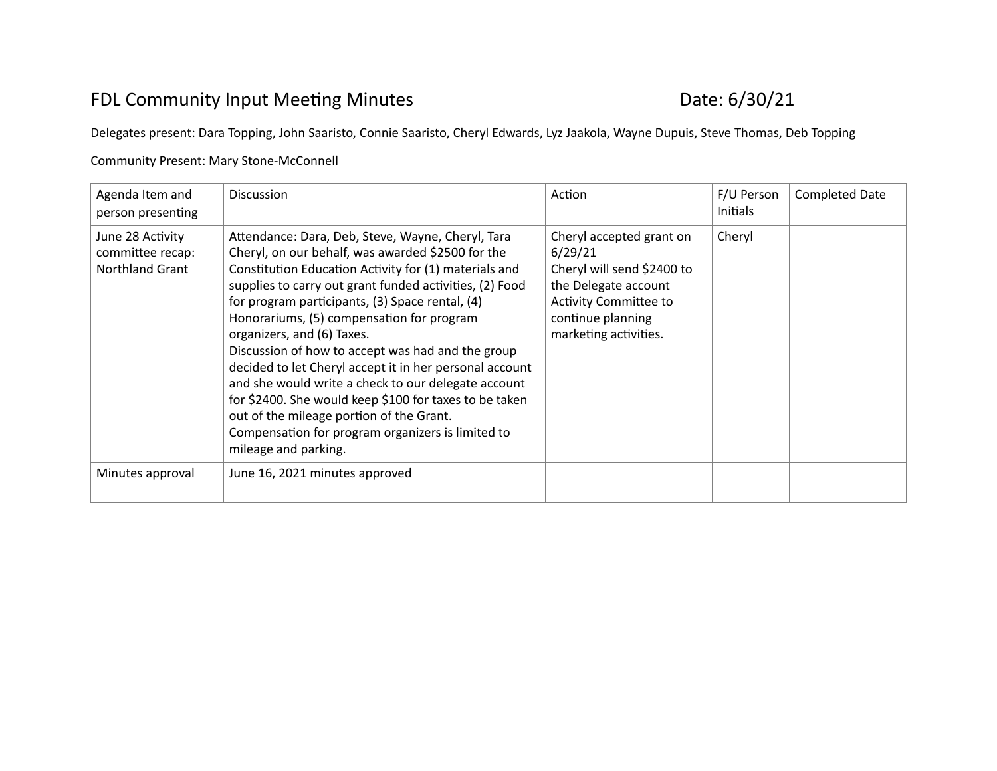## FDL Community Input Meeting Minutes **Date: 6/30/21**

Delegates present: Dara Topping, John Saaristo, Connie Saaristo, Cheryl Edwards, Lyz Jaakola, Wayne Dupuis, Steve Thomas, Deb Topping

## Community Present: Mary Stone-McConnell

| Agenda Item and<br>person presenting                    | <b>Discussion</b>                                                                                                                                                                                                                                                                                                                                                                                                                                                                                                                                                                                                                                                                                                  | Action                                                                                                                                                                  | F/U Person<br><b>Initials</b> | <b>Completed Date</b> |
|---------------------------------------------------------|--------------------------------------------------------------------------------------------------------------------------------------------------------------------------------------------------------------------------------------------------------------------------------------------------------------------------------------------------------------------------------------------------------------------------------------------------------------------------------------------------------------------------------------------------------------------------------------------------------------------------------------------------------------------------------------------------------------------|-------------------------------------------------------------------------------------------------------------------------------------------------------------------------|-------------------------------|-----------------------|
| June 28 Activity<br>committee recap:<br>Northland Grant | Attendance: Dara, Deb, Steve, Wayne, Cheryl, Tara<br>Cheryl, on our behalf, was awarded \$2500 for the<br>Constitution Education Activity for (1) materials and<br>supplies to carry out grant funded activities, (2) Food<br>for program participants, (3) Space rental, (4)<br>Honorariums, (5) compensation for program<br>organizers, and (6) Taxes.<br>Discussion of how to accept was had and the group<br>decided to let Cheryl accept it in her personal account<br>and she would write a check to our delegate account<br>for \$2400. She would keep \$100 for taxes to be taken<br>out of the mileage portion of the Grant.<br>Compensation for program organizers is limited to<br>mileage and parking. | Cheryl accepted grant on<br>6/29/21<br>Cheryl will send \$2400 to<br>the Delegate account<br><b>Activity Committee to</b><br>continue planning<br>marketing activities. | Cheryl                        |                       |
| Minutes approval                                        | June 16, 2021 minutes approved                                                                                                                                                                                                                                                                                                                                                                                                                                                                                                                                                                                                                                                                                     |                                                                                                                                                                         |                               |                       |